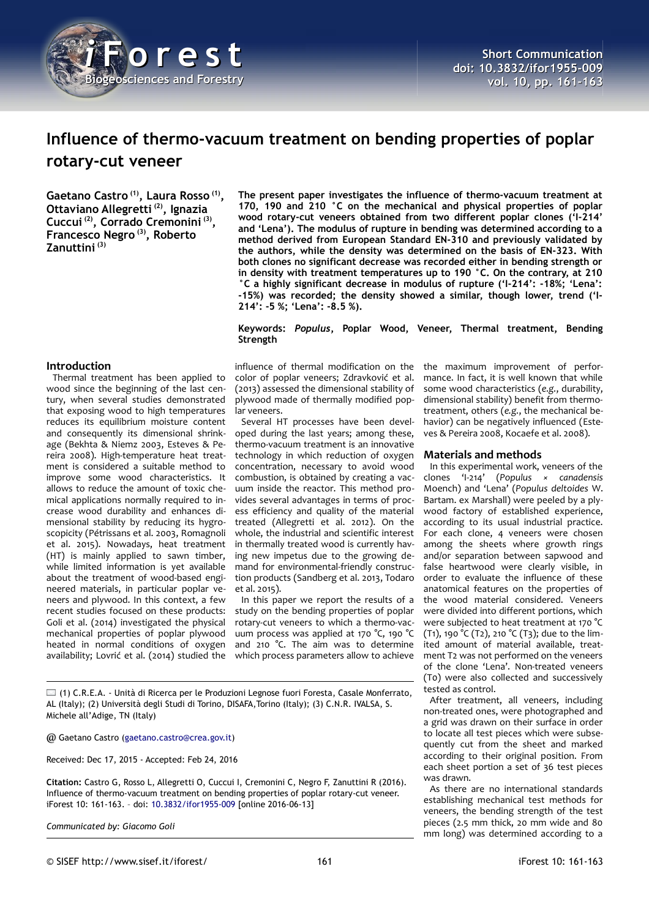

# **Influence of thermo-vacuum treatment on bending properties of poplar rotary-cut veneer**

**Gaetano Castro (1), Laura Rosso (1) , Ottaviano Allegretti (2), Ignazia Cuccui (2), Corrado Cremonini (3) , Francesco Negro (3), Roberto Zanuttini (3)**

**The present paper investigates the influence of thermo-vacuum treatment at 170, 190 and 210 °C on the mechanical and physical properties of poplar wood rotary-cut veneers obtained from two different poplar clones ('I-214' and 'Lena'). The modulus of rupture in bending was determined according to a method derived from European Standard EN-310 and previously validated by the authors, while the density was determined on the basis of EN-323. With both clones no significant decrease was recorded either in bending strength or in density with treatment temperatures up to 190 °C. On the contrary, at 210 °C a highly significant decrease in modulus of rupture ('I-214': -18%; 'Lena': -15%) was recorded; the density showed a similar, though lower, trend ('I-214': -5 %; 'Lena': -8.5 %).**

**Keywords:** *Populus***, Poplar Wood, Veneer, Thermal treatment, Bending Strength**

## **Introduction**

Thermal treatment has been applied to wood since the beginning of the last century, when several studies demonstrated that exposing wood to high temperatures reduces its equilibrium moisture content and consequently its dimensional shrinkage (Bekhta & Niemz 2003, Esteves & Pereira 2008). High-temperature heat treatment is considered a suitable method to improve some wood characteristics. It allows to reduce the amount of toxic chemical applications normally required to increase wood durability and enhances dimensional stability by reducing its hygroscopicity (Pétrissans et al. 2003, Romagnoli et al. 2015). Nowadays, heat treatment (HT) is mainly applied to sawn timber, while limited information is yet available about the treatment of wood-based engineered materials, in particular poplar veneers and plywood. In this context, a few recent studies focused on these products: Goli et al. (2014) investigated the physical mechanical properties of poplar plywood heated in normal conditions of oxygen availability; Lovrić et al. (2014) studied the

influence of thermal modification on the color of poplar veneers; Zdravković et al. (2013) assessed the dimensional stability of plywood made of thermally modified poplar veneers.

Several HT processes have been developed during the last years; among these, thermo-vacuum treatment is an innovative technology in which reduction of oxygen concentration, necessary to avoid wood combustion, is obtained by creating a vacuum inside the reactor. This method provides several advantages in terms of process efficiency and quality of the material treated (Allegretti et al. 2012). On the whole, the industrial and scientific interest in thermally treated wood is currently having new impetus due to the growing demand for environmental-friendly construction products (Sandberg et al. 2013, Todaro et al. 2015).

In this paper we report the results of a study on the bending properties of poplar rotary-cut veneers to which a thermo-vacuum process was applied at 170 °C, 190 °C and 210 °C. The aim was to determine which process parameters allow to achieve

(1) C.R.E.A. - Unità di Ricerca per le Produzioni Legnose fuori Foresta, Casale Monferrato, AL (Italy); (2) Università degli Studi di Torino, DISAFA,Torino (Italy); (3) C.N.R. IVALSA, S. Michele all'Adige, TN (Italy)

@ Gaetano Castro [\(gaetano.castro@crea.gov.it\)](mailto:gaetano.castro@crea.gov.it)

Received: Dec 17, 2015 - Accepted: Feb 24, 2016

**Citation:** Castro G, Rosso L, Allegretti O, Cuccui I, Cremonini C, Negro F, Zanuttini R (2016). Influence of thermo-vacuum treatment on bending properties of poplar rotary-cut veneer. iForest 10: 161-163. – doi: [10.3832/ifor1955-009](http://www.sisef.it/iforest/contents/?id=ifor1955-009) [online 2016-06-13]

*Communicated by: Giacomo Goli*

the maximum improvement of performance. In fact, it is well known that while some wood characteristics (*e.g.*, durability, dimensional stability) benefit from thermotreatment, others (*e.g.*, the mechanical behavior) can be negatively influenced (Esteves & Pereira 2008, Kocaefe et al. 2008).

#### **Materials and methods**

In this experimental work, veneers of the clones 'I-214' (*Populus × canadensis* Moench) and 'Lena' (*Populus deltoides* W. Bartam. ex Marshall) were peeled by a plywood factory of established experience, according to its usual industrial practice. For each clone, 4 veneers were chosen among the sheets where growth rings and/or separation between sapwood and false heartwood were clearly visible, in order to evaluate the influence of these anatomical features on the properties of the wood material considered. Veneers were divided into different portions, which were subjected to heat treatment at 170 °C (T1), 190 °C (T2), 210 °C (T3); due to the limited amount of material available, treatment T2 was not performed on the veneers of the clone 'Lena'. Non-treated veneers (T0) were also collected and successively tested as control.

After treatment, all veneers, including non-treated ones, were photographed and a grid was drawn on their surface in order to locate all test pieces which were subsequently cut from the sheet and marked according to their original position. From each sheet portion a set of 36 test pieces was drawn.

As there are no international standards establishing mechanical test methods for veneers, the bending strength of the test pieces (2.5 mm thick, 20 mm wide and 80 mm long) was determined according to a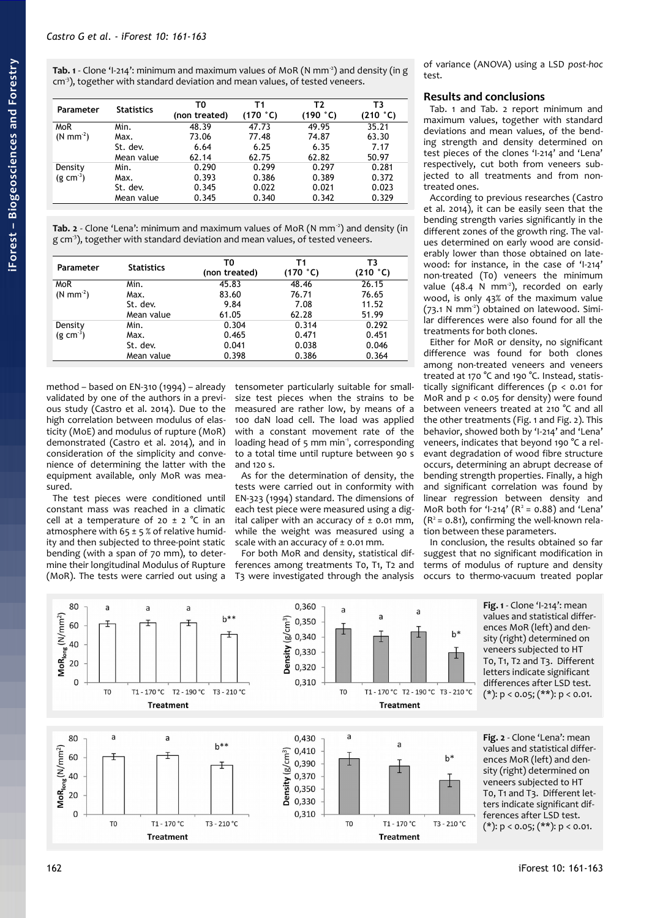<span id="page-1-0"></span>**Tab. 1** - Clone 'I-214': minimum and maximum values of MoR (N mm-2) and density (in g cm<sup>3</sup>), together with standard deviation and mean values, of tested veneers.

| Parameter          | <b>Statistics</b> | T0<br>(non treated) | Τ1<br>(170 °C) | Т2<br>(190 °C) | Т3<br>(210 °C) |
|--------------------|-------------------|---------------------|----------------|----------------|----------------|
| <b>MoR</b>         | Min.              | 48.39               | 47.73          | 49.95          | 35.21          |
| $(N \text{ mm}^2)$ | Max.              | 73.06               | 77.48          | 74.87          | 63.30          |
|                    | St. dev.          | 6.64                | 6.25           | 6.35           | 7.17           |
|                    | Mean value        | 62.14               | 62.75          | 62.82          | 50.97          |
| Density            | Min.              | 0.290               | 0.299          | 0.297          | 0.281          |
| $(g \, cm^{-3})$   | Max.              | 0.393               | 0.386          | 0.389          | 0.372          |
|                    | St. dev.          | 0.345               | 0.022          | 0.021          | 0.023          |
|                    | Mean value        | 0.345               | 0.340          | 0.342          | 0.329          |

<span id="page-1-3"></span>Tab. 2 - Clone 'Lena': minimum and maximum values of MoR (N mm<sup>-2</sup>) and density (in g cm<sup>3</sup>), together with standard deviation and mean values, of tested veneers.

| Parameter          | <b>Statistics</b> | TO<br>(non treated) | Τ1<br>(170 °C) | ΤЗ<br>(210 °C) |
|--------------------|-------------------|---------------------|----------------|----------------|
| <b>MoR</b>         | Min.              | 45.83               | 48.46          | 26.15          |
| $(N \text{ mm}^2)$ | Max.              | 83.60               | 76.71          | 76.65          |
|                    | St. dev.          | 9.84                | 7.08           | 11.52          |
|                    | Mean value        | 61.05               | 62.28          | 51.99          |
| Density            | Min.              | 0.304               | 0.314          | 0.292          |
| $(g \text{ cm}^3)$ | Max.              | 0.465               | 0.471          | 0.451          |
|                    | St. dev.          | 0.041               | 0.038          | 0.046          |
|                    | Mean value        | 0.398               | 0.386          | 0.364          |

method – based on EN-310 (1994) – already validated by one of the authors in a previous study (Castro et al. 2014). Due to the high correlation between modulus of elasticity (MoE) and modulus of rupture (MoR) demonstrated (Castro et al. 2014), and in consideration of the simplicity and convenience of determining the latter with the equipment available, only MoR was measured.

The test pieces were conditioned until constant mass was reached in a climatic cell at a temperature of 20  $\pm$  2 °C in an atmosphere with  $65 \pm 5$  % of relative humidity and then subjected to three-point static bending (with a span of 70 mm), to determine their longitudinal Modulus of Rupture (MoR). The tests were carried out using a tensometer particularly suitable for smallsize test pieces when the strains to be measured are rather low, by means of a 100 daN load cell. The load was applied with a constant movement rate of the loading head of 5 mm min<sup>-1</sup>, corresponding to a total time until rupture between 90 s and 120 s.

As for the determination of density, the tests were carried out in conformity with EN-323 (1994) standard. The dimensions of each test piece were measured using a digital caliper with an accuracy of  $\pm$  0.01 mm, while the weight was measured using a scale with an accuracy of  $\pm$  0.01 mm.

For both MoR and density, statistical differences among treatments T0, T1, T2 and T3 were investigated through the analysis of variance (ANOVA) using a LSD *post-hoc* test.

### **Results and conclusions**

[Tab. 1](#page-1-0) and [Tab. 2](#page-1-3) report minimum and maximum values, together with standard deviations and mean values, of the bending strength and density determined on test pieces of the clones 'I-214' and 'Lena' respectively, cut both from veneers subjected to all treatments and from nontreated ones.

According to previous researches (Castro et al. 2014), it can be easily seen that the bending strength varies significantly in the different zones of the growth ring. The values determined on early wood are considerably lower than those obtained on latewood: for instance, in the case of 'I-214' non-treated (T0) veneers the minimum value (48.4 N mm<sup>-2</sup>), recorded on early wood, is only 43% of the maximum value  $(73.1 \text{ N mm}^2)$  obtained on latewood. Similar differences were also found for all the treatments for both clones.

Either for MoR or density, no significant difference was found for both clones among non-treated veneers and veneers treated at 170 °C and 190 °C. Instead, statistically significant differences (p < 0.01 for MoR and  $p < 0.05$  for density) were found between veneers treated at 210 °C and all the other treatments [\(Fig. 1](#page-1-2) and [Fig. 2\)](#page-1-1). This behavior, showed both by 'I-214' and 'Lena' veneers, indicates that beyond 190 °C a relevant degradation of wood fibre structure occurs, determining an abrupt decrease of bending strength properties. Finally, a high and significant correlation was found by linear regression between density and MoR both for 'I-214'  $(R^2 = 0.88)$  and 'Lena'  $(R^2 = 0.81)$ , confirming the well-known relation between these parameters.

<span id="page-1-2"></span>In conclusion, the results obtained so far suggest that no significant modification in terms of modulus of rupture and density occurs to thermo-vacuum treated poplar



<span id="page-1-1"></span>**Fig. 2** - Clone 'Lena': mean values and statistical differences MoR (left) and density (right) determined on veneers subjected to HT T0, T1 and T3. Different letters indicate significant differences after LSD test.  $(*): p < 0.05; (**): p < 0.01.$